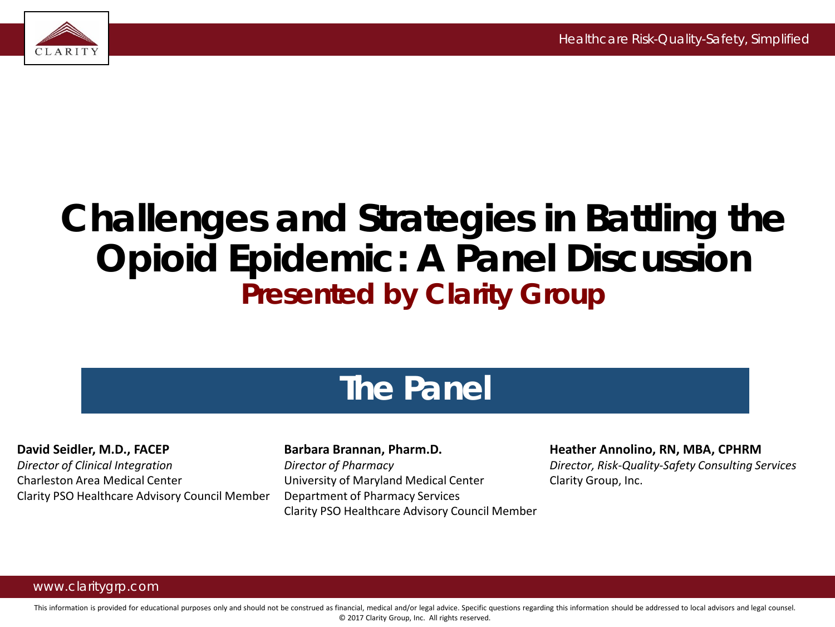

### **Challenges and Strategies in Battling the Opioid Epidemic: A Panel Discussion** *Presented by Clarity Group*

### **The Panel**

**David Seidler, M.D., FACEP**

*Director of Clinical Integration* Charleston Area Medical Center Clarity PSO Healthcare Advisory Council Member

### **Barbara Brannan, Pharm.D.**

*Director of Pharmacy* University of Maryland Medical Center Department of Pharmacy Services Clarity PSO Healthcare Advisory Council Member

#### **Heather Annolino, RN, MBA, CPHRM**

*Director, Risk-Quality-Safety Consulting Services* Clarity Group, Inc.

#### www.claritygrp.com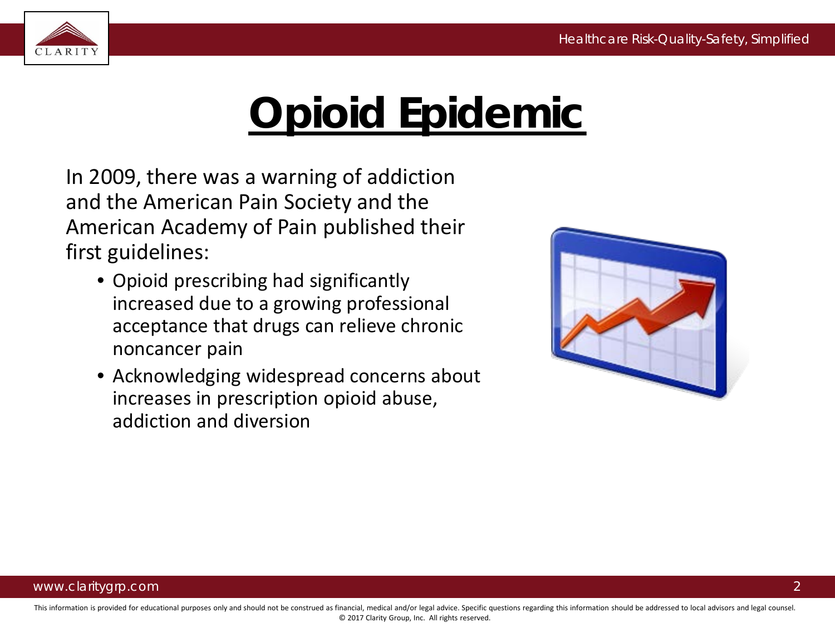

# **Opioid Epidemic**

In 2009, there was a warning of addiction and the American Pain Society and the American Academy of Pain published their first guidelines:

- Opioid prescribing had significantly increased due to a growing professional acceptance that drugs can relieve chronic noncancer pain
- Acknowledging widespread concerns about increases in prescription opioid abuse, addiction and diversion

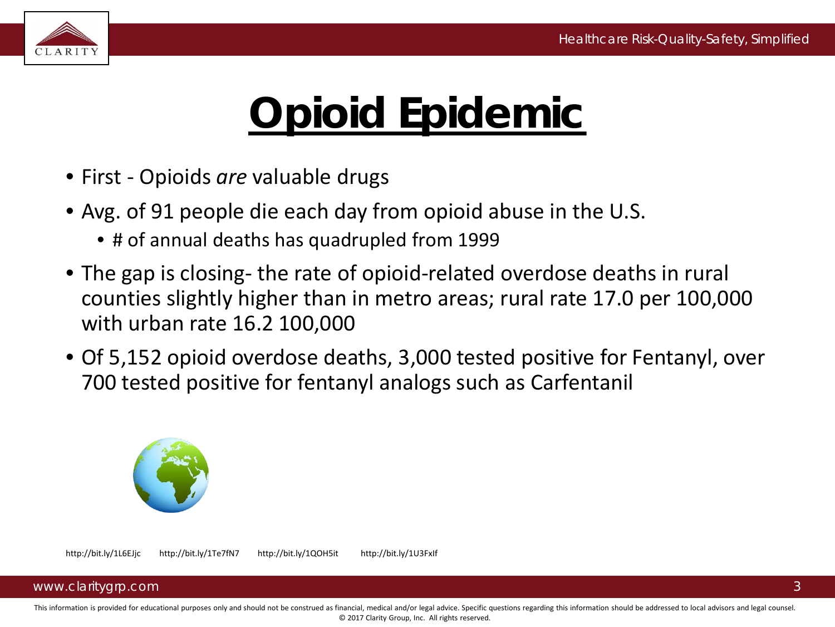

# **Opioid Epidemic**

- First Opioids *are* valuable drugs
- Avg. of 91 people die each day from opioid abuse in the U.S.
	- # of annual deaths has quadrupled from 1999
- The gap is closing- the rate of opioid-related overdose deaths in rural counties slightly higher than in metro areas; rural rate 17.0 per 100,000 with urban rate 16.2 100,000
- Of 5,152 opioid overdose deaths, 3,000 tested positive for Fentanyl, over 700 tested positive for fentanyl analogs such as Carfentanil



#### www.claritygrp.com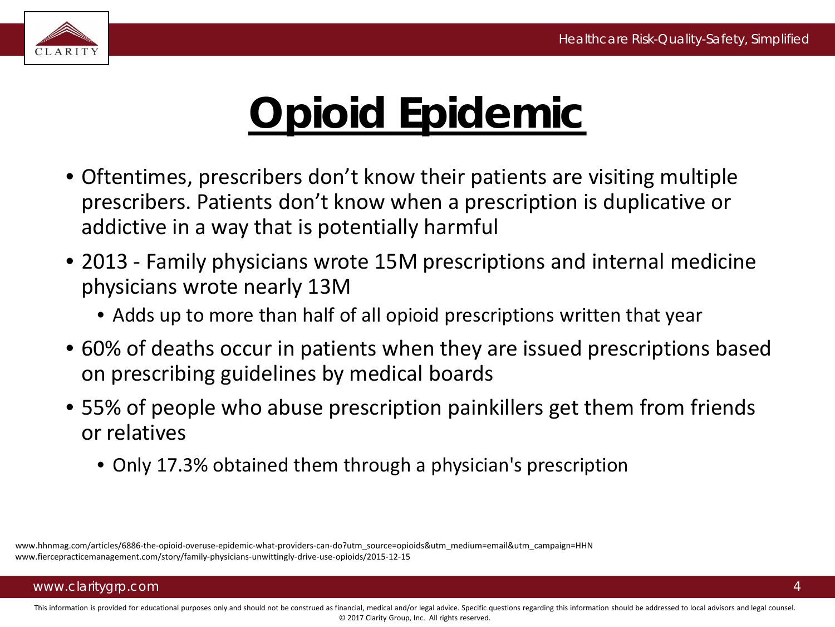

# **Opioid Epidemic**

- Oftentimes, prescribers don't know their patients are visiting multiple prescribers. Patients don't know when a prescription is duplicative or addictive in a way that is potentially harmful
- 2013 Family physicians wrote 15M prescriptions and internal medicine physicians wrote nearly 13M
	- Adds up to more than half of all opioid prescriptions written that year
- 60% of deaths occur in patients when they are issued prescriptions based on prescribing guidelines by medical boards
- 55% of people who abuse prescription painkillers get them from friends or relatives
	- Only 17.3% obtained them through a physician's prescription

www.hhnmag.com/articles/6886-the-opioid-overuse-epidemic-what-providers-can-do?utm\_source=opioids&utm\_medium=email&utm\_campaign=HHN www.fiercepracticemanagement.com/story/family-physicians-unwittingly-drive-use-opioids/2015-12-15

### www.claritygrp.com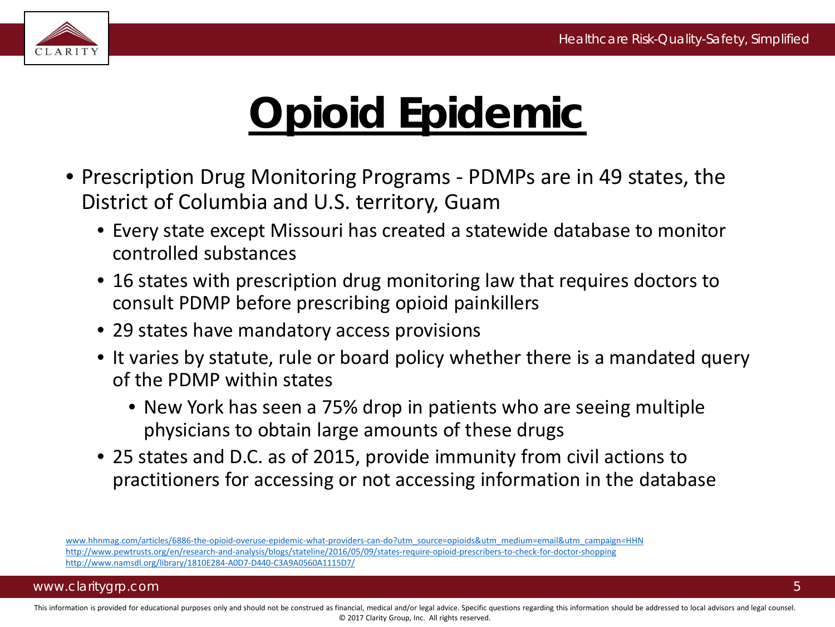5



# **Opioid Epidemic**

- Prescription Drug Monitoring Programs PDMPs are in 49 states, the District of Columbia and U.S. territory, Guam
	- Every state except Missouri has created a statewide database to monitor controlled substances
	- 16 states with prescription drug monitoring law that requires doctors to consult PDMP before prescribing opioid painkillers
	- 29 states have mandatory access provisions
	- It varies by statute, rule or board policy whether there is a mandated query of the PDMP within states
		- New York has seen a 75% drop in patients who are seeing multiple physicians to obtain large amounts of these drugs
	- 25 states and D.C. as of 2015, provide immunity from civil actions to practitioners for accessing or not accessing information in the database

[www.hhnmag.com/articles/6886-the-opioid-overuse-epidemic-what-providers-can-do?utm\\_source=opioids&utm\\_medium=email&utm\\_campaign=HHN](http://www.hhnmag.com/articles/6886-the-opioid-overuse-epidemic-what-providers-can-do?utm_source=opioids&utm_medium=email&utm_campaign=HHN) <http://www.pewtrusts.org/en/research-and-analysis/blogs/stateline/2016/05/09/states-require-opioid-prescribers-to-check-for-doctor-shopping> <http://www.namsdl.org/library/1810E284-A0D7-D440-C3A9A0560A1115D7/>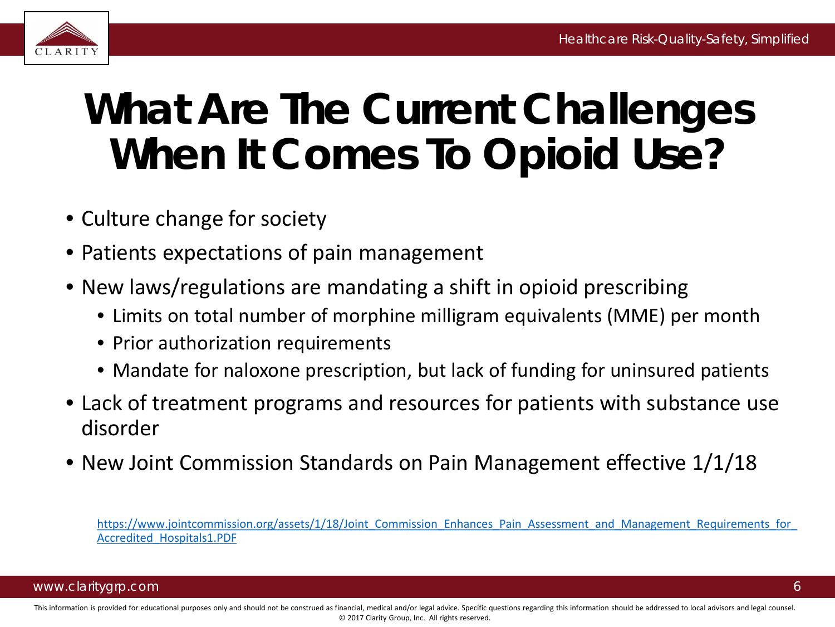

# **What Are The Current Challenges When It Comes To Opioid Use?**

- Culture change for society
- Patients expectations of pain management
- New laws/regulations are mandating a shift in opioid prescribing
	- Limits on total number of morphine milligram equivalents (MME) per month
	- Prior authorization requirements
	- Mandate for naloxone prescription, but lack of funding for uninsured patients
- Lack of treatment programs and resources for patients with substance use disorder
- New Joint Commission Standards on Pain Management effective 1/1/18

https://www.jointcommission.org/assets/1/18/Joint\_Commission\_Enhances\_Pain\_Assessment\_and\_Management\_Requirements\_for Accredited\_Hospitals1.PDF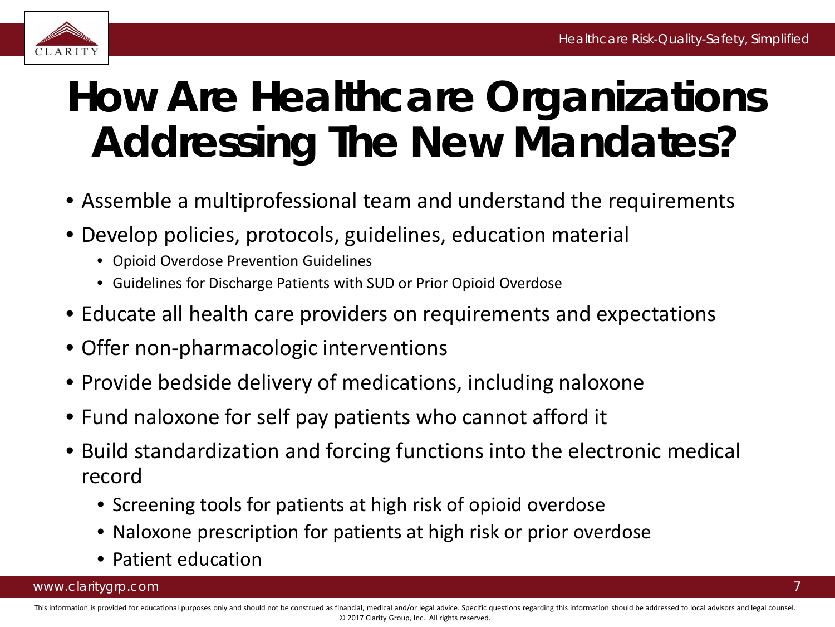

# **How Are Healthcare Organizations Addressing The New Mandates?**

- Assemble a multiprofessional team and understand the requirements
- Develop policies, protocols, guidelines, education material
	- Opioid Overdose Prevention Guidelines
	- Guidelines for Discharge Patients with SUD or Prior Opioid Overdose
- Educate all health care providers on requirements and expectations
- Offer non-pharmacologic interventions
- Provide bedside delivery of medications, including naloxone
- Fund naloxone for self pay patients who cannot afford it
- Build standardization and forcing functions into the electronic medical record
	- Screening tools for patients at high risk of opioid overdose
	- Naloxone prescription for patients at high risk or prior overdose
	- Patient education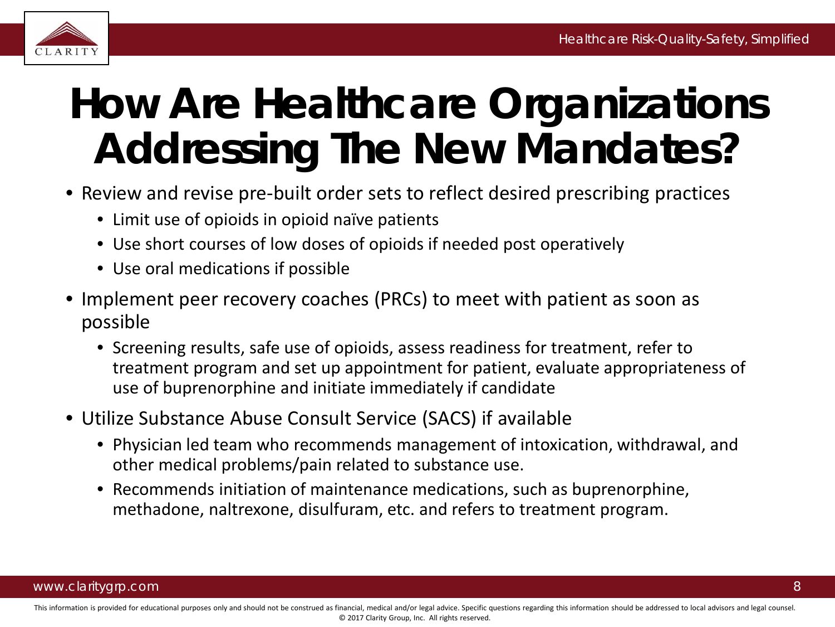

# **How Are Healthcare Organizations Addressing The New Mandates?**

- Review and revise pre-built order sets to reflect desired prescribing practices
	- Limit use of opioids in opioid naïve patients
	- Use short courses of low doses of opioids if needed post operatively
	- Use oral medications if possible
- Implement peer recovery coaches (PRCs) to meet with patient as soon as possible
	- Screening results, safe use of opioids, assess readiness for treatment, refer to treatment program and set up appointment for patient, evaluate appropriateness of use of buprenorphine and initiate immediately if candidate
- Utilize Substance Abuse Consult Service (SACS) if available
	- Physician led team who recommends management of intoxication, withdrawal, and other medical problems/pain related to substance use.
	- Recommends initiation of maintenance medications, such as buprenorphine, methadone, naltrexone, disulfuram, etc. and refers to treatment program.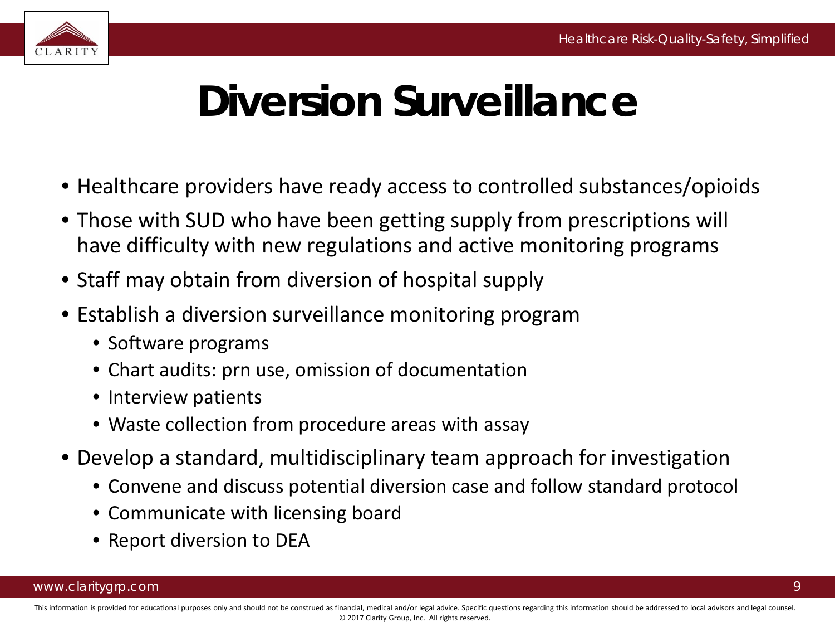

# **Diversion Surveillance**

- Healthcare providers have ready access to controlled substances/opioids
- Those with SUD who have been getting supply from prescriptions will have difficulty with new regulations and active monitoring programs
- Staff may obtain from diversion of hospital supply
- Establish a diversion surveillance monitoring program
	- Software programs
	- Chart audits: prn use, omission of documentation
	- Interview patients
	- Waste collection from procedure areas with assay
- Develop a standard, multidisciplinary team approach for investigation
	- Convene and discuss potential diversion case and follow standard protocol
	- Communicate with licensing board
	- Report diversion to DEA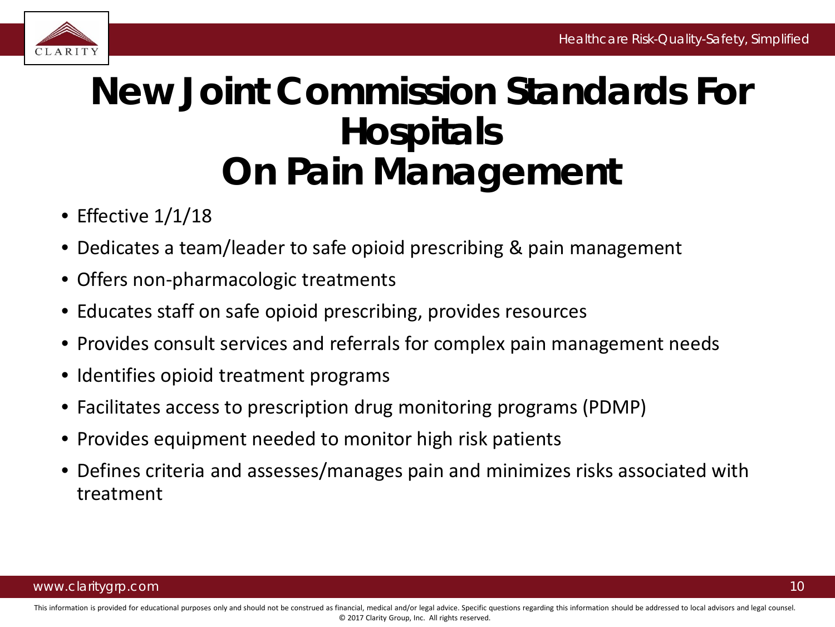

### **New Joint Commission Standards For Hospitals On Pain Management**

- Effective 1/1/18
- Dedicates a team/leader to safe opioid prescribing & pain management
- Offers non-pharmacologic treatments
- Educates staff on safe opioid prescribing, provides resources
- Provides consult services and referrals for complex pain management needs
- Identifies opioid treatment programs
- Facilitates access to prescription drug monitoring programs (PDMP)
- Provides equipment needed to monitor high risk patients
- Defines criteria and assesses/manages pain and minimizes risks associated with treatment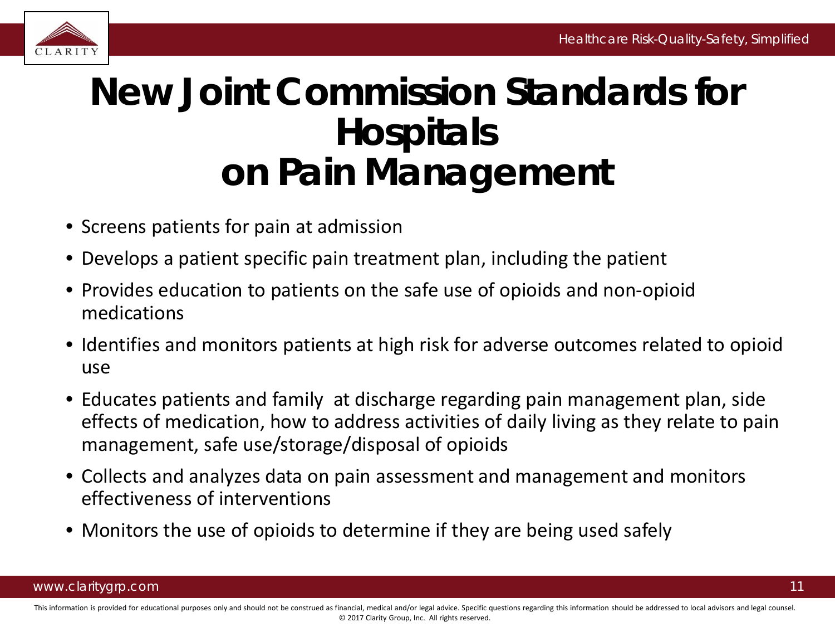

### **New Joint Commission Standards for Hospitals on Pain Management**

- Screens patients for pain at admission
- Develops a patient specific pain treatment plan, including the patient
- Provides education to patients on the safe use of opioids and non-opioid medications
- Identifies and monitors patients at high risk for adverse outcomes related to opioid use
- Educates patients and family at discharge regarding pain management plan, side effects of medication, how to address activities of daily living as they relate to pain management, safe use/storage/disposal of opioids
- Collects and analyzes data on pain assessment and management and monitors effectiveness of interventions
- Monitors the use of opioids to determine if they are being used safely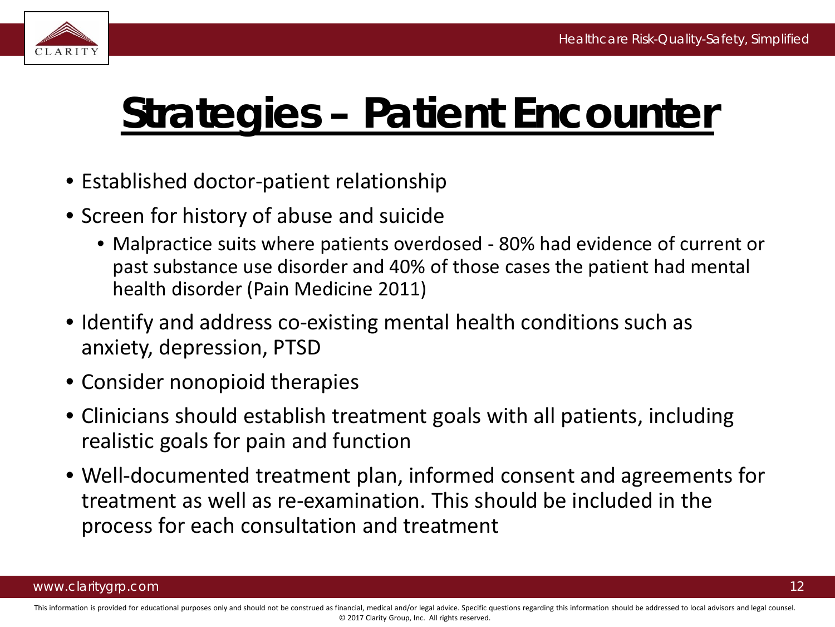

# **Strategies – Patient Encounter**

- Established doctor-patient relationship
- Screen for history of abuse and suicide
	- Malpractice suits where patients overdosed 80% had evidence of current or past substance use disorder and 40% of those cases the patient had mental health disorder (Pain Medicine 2011)
- Identify and address co-existing mental health conditions such as anxiety, depression, PTSD
- Consider nonopioid therapies
- Clinicians should establish treatment goals with all patients, including realistic goals for pain and function
- Well-documented treatment plan, informed consent and agreements for treatment as well as re-examination. This should be included in the process for each consultation and treatment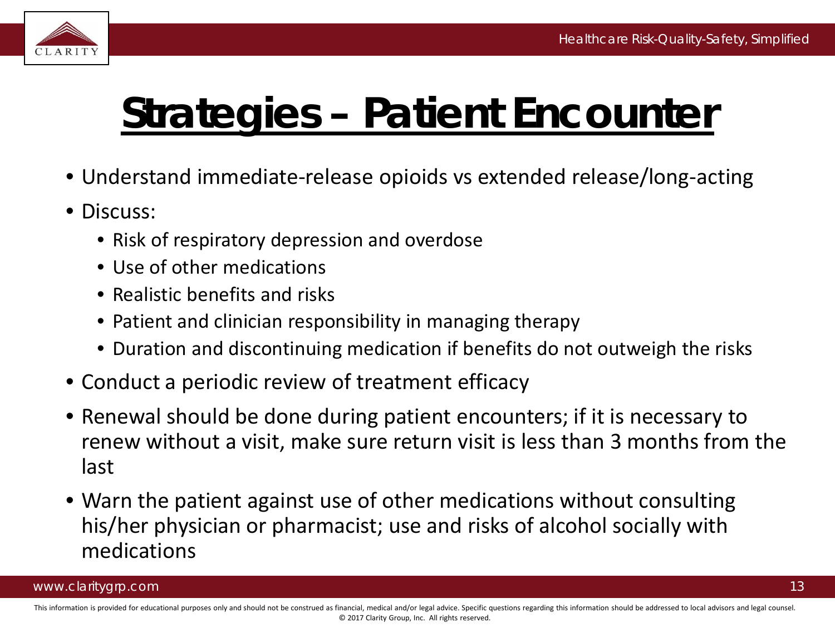

# **Strategies – Patient Encounter**

- Understand immediate-release opioids vs extended release/long-acting
- Discuss:
	- Risk of respiratory depression and overdose
	- Use of other medications
	- Realistic benefits and risks
	- Patient and clinician responsibility in managing therapy
	- Duration and discontinuing medication if benefits do not outweigh the risks
- Conduct a periodic review of treatment efficacy
- Renewal should be done during patient encounters; if it is necessary to renew without a visit, make sure return visit is less than 3 months from the last
- Warn the patient against use of other medications without consulting his/her physician or pharmacist; use and risks of alcohol socially with medications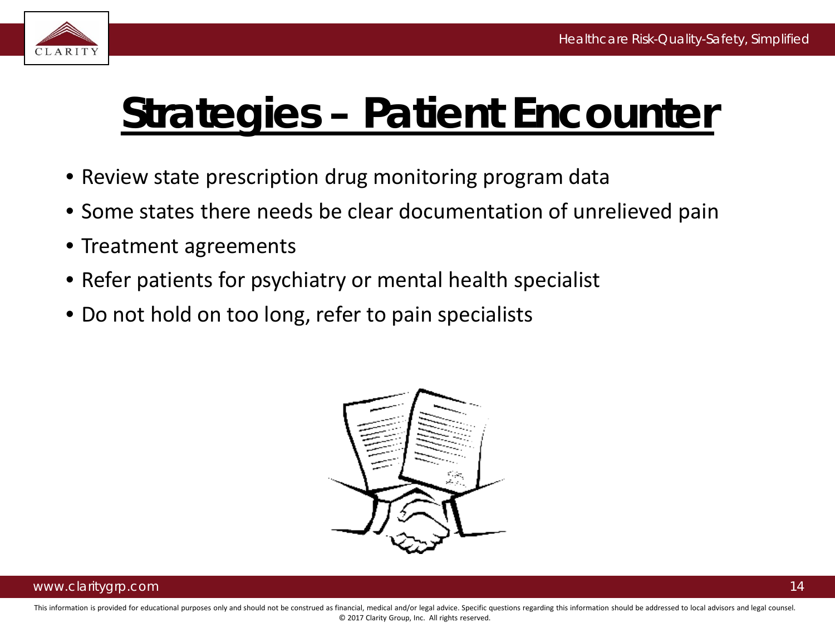

# **Strategies – Patient Encounter**

- Review state prescription drug monitoring program data
- Some states there needs be clear documentation of unrelieved pain
- Treatment agreements
- Refer patients for psychiatry or mental health specialist
- Do not hold on too long, refer to pain specialists

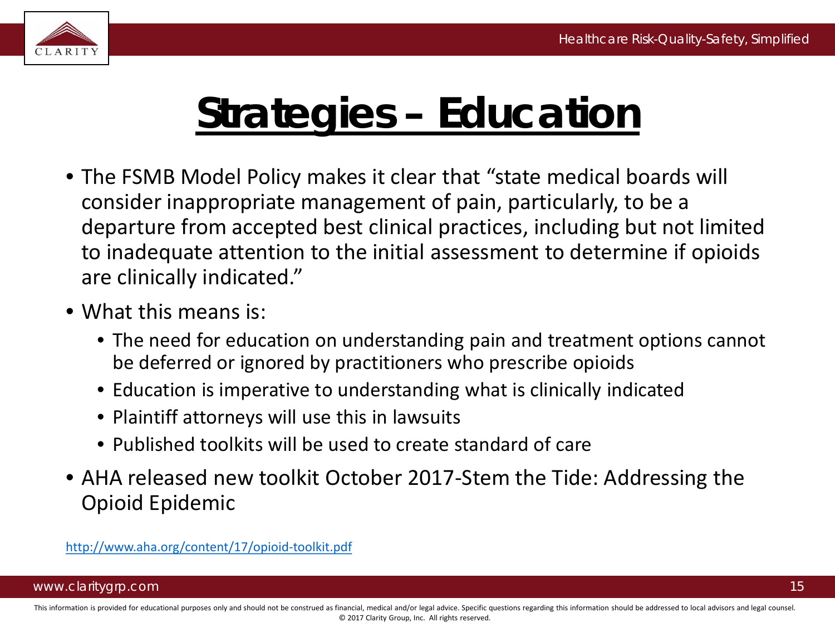

# **Strategies – Education**

- The FSMB Model Policy makes it clear that "state medical boards will consider inappropriate management of pain, particularly, to be a departure from accepted best clinical practices, including but not limited to inadequate attention to the initial assessment to determine if opioids are clinically indicated."
- What this means is:
	- The need for education on understanding pain and treatment options cannot be deferred or ignored by practitioners who prescribe opioids
	- Education is imperative to understanding what is clinically indicated
	- Plaintiff attorneys will use this in lawsuits
	- Published toolkits will be used to create standard of care
- AHA released new toolkit October 2017-Stem the Tide: Addressing the Opioid Epidemic

<http://www.aha.org/content/17/opioid-toolkit.pdf>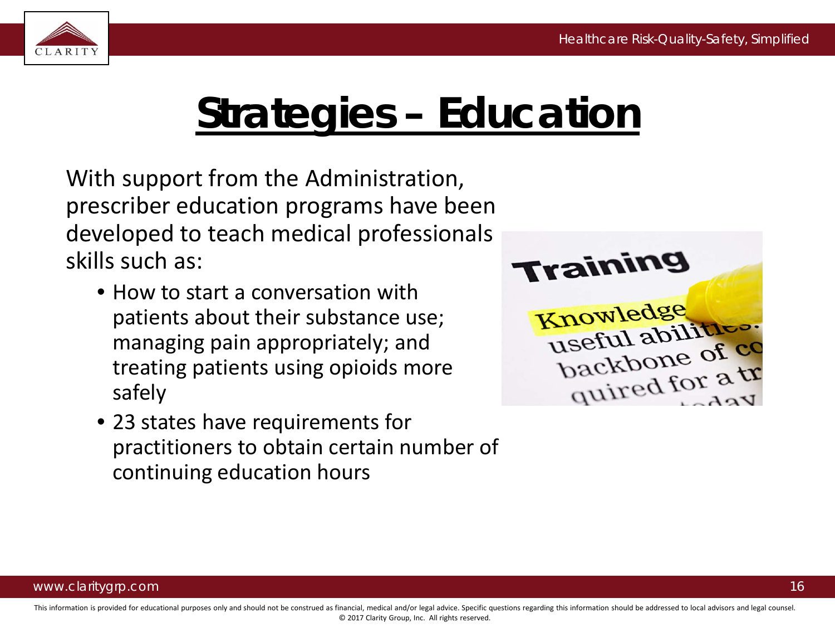

# **Strategies – Education**

With support from the Administration, prescriber education programs have been developed to teach medical professionals skills such as:

- How to start a conversation with patients about their substance use; managing pain appropriately; and treating patients using opioids more safely
- 23 states have requirements for practitioners to obtain certain number of continuing education hours

**Training** Knowledge useful abilities: backbone of co quired for a tr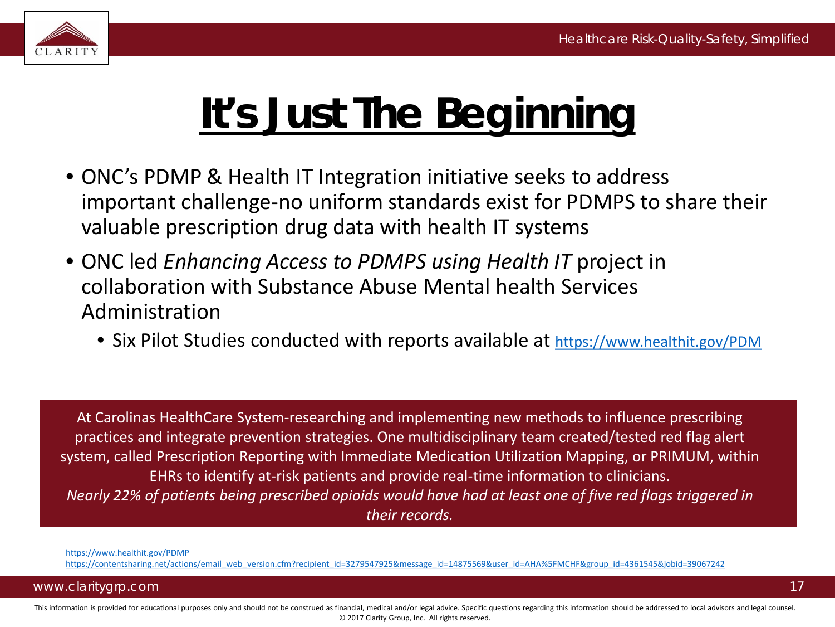

# **It's Just The Beginning**

- ONC's PDMP & Health IT Integration initiative seeks to address important challenge-no uniform standards exist for PDMPS to share their valuable prescription drug data with health IT systems
- ONC led *Enhancing Access to PDMPS using Health IT* project in collaboration with Substance Abuse Mental health Services Administration
	- Six Pilot Studies conducted with reports available at <https://www.healthit.gov/PDM>

At Carolinas HealthCare System-researching and implementing new methods to influence prescribing practices and integrate prevention strategies. One multidisciplinary team created/tested red flag alert system, called Prescription Reporting with Immediate Medication Utilization Mapping, or PRIMUM, within EHRs to identify at-risk patients and provide real-time information to clinicians. *Nearly 22% of patients being prescribed opioids would have had at least one of five red flags triggered in their records.* 

<https://www.healthit.gov/PDMP>

[https://contentsharing.net/actions/email\\_web\\_version.cfm?recipient\\_id=3279547925&message\\_id=14875569&user\\_id=AHA%5FMCHF&group\\_id=4361545&jobid=39067242](https://contentsharing.net/actions/email_web_version.cfm?recipient_id=3279547925&message_id=14875569&user_id=AHA_MCHF&group_id=4361545&jobid=39067242)

#### www.claritygrp.com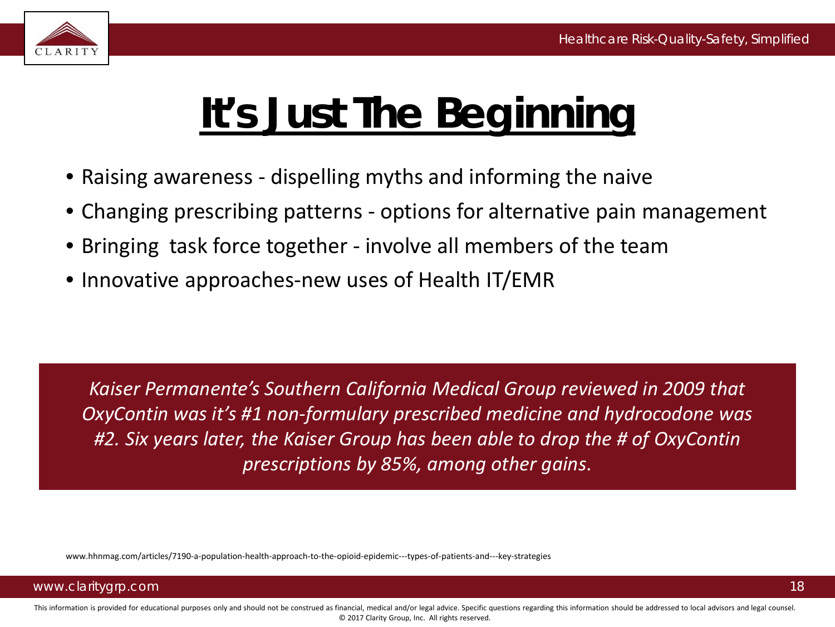

# **It's Just The Beginning**

- Raising awareness dispelling myths and informing the naive
- Changing prescribing patterns options for alternative pain management
- Bringing task force together involve all members of the team
- Innovative approaches-new uses of Health IT/EMR

*Kaiser Permanente's Southern California Medical Group reviewed in 2009 that OxyContin was it's #1 non-formulary prescribed medicine and hydrocodone was #2. Six years later, the Kaiser Group has been able to drop the # of OxyContin prescriptions by 85%, among other gains*.

www.hhnmag.com/articles/7190-a-population-health-approach-to-the-opioid-epidemic---types-of-patients-and---key-strategies

### www.claritygrp.com